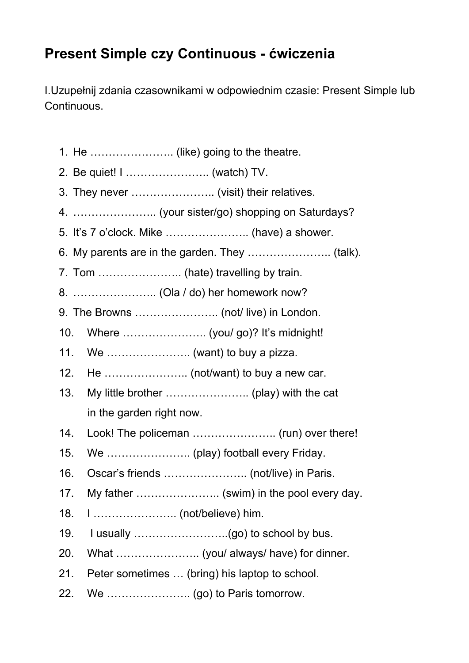## **Present Simple czy Continuous - ćwiczenia**

I.Uzupełnij zdania czasownikami w odpowiednim czasie: Present Simple lub Continuous.

- 1. He ………………….. (like) going to the theatre.
- 2. Be quiet! I ………………….. (watch) TV.
- 3. They never ………………….. (visit) their relatives.
- 4. ………………….. (your sister/go) shopping on Saturdays?
- 5. It's 7 o'clock. Mike ………………….. (have) a shower.
- 6. My parents are in the garden. They ………………….. (talk).
- 7. Tom ………………….. (hate) travelling by train.
- 8. ………………….. (Ola / do) her homework now?
- 9. The Browns ………………….. (not/ live) in London.
- 10. Where ………………….. (you/ go)? It's midnight!
- 11. We ………………….. (want) to buy a pizza.
- 12. He ………………….. (not/want) to buy a new car.
- 13. My little brother ………………….. (play) with the cat in the garden right now.
- 14. Look! The policeman ………………….. (run) over there!
- 15. We ………………….. (play) football every Friday.
- 16. Oscar's friends ………………….. (not/live) in Paris.
- 17. My father ......................... (swim) in the pool every day.
- 18. I ………………….. (not/believe) him.
- 19. I usually  $\ldots$   $\ldots$   $\ldots$   $\ldots$   $\ldots$   $\ldots$   $\ldots$   $\ldots$  (go) to school by bus.
- 20. What ………………….. (you/ always/ have) for dinner.
- 21. Peter sometimes … (bring) his laptop to school.
- 22. We ………………….. (go) to Paris tomorrow.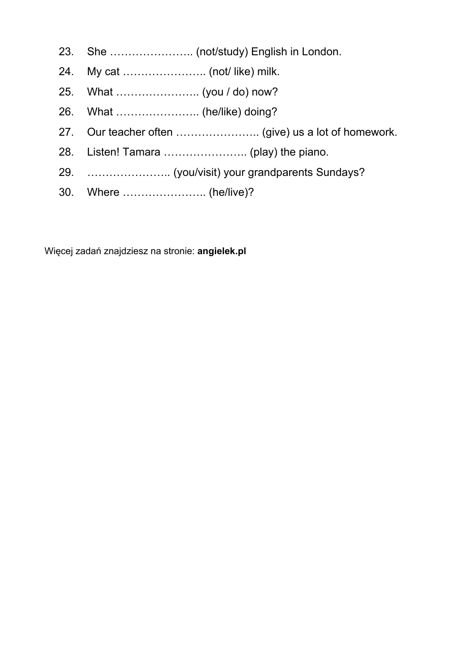- 23. She ………………….. (not/study) English in London.
- 24. My cat ………………….. (not/ like) milk.
- 25. What ………………….. (you / do) now?
- 26. What ………………….. (he/like) doing?
- 27. Our teacher often ………………….. (give) us a lot of homework.
- 28. Listen! Tamara ………………….. (play) the piano.
- 29. ………………….. (you/visit) your grandparents Sundays?
- 30. Where .......................... (he/live)?

Więcej zadań znajdziesz na stronie: **angielek.pl**